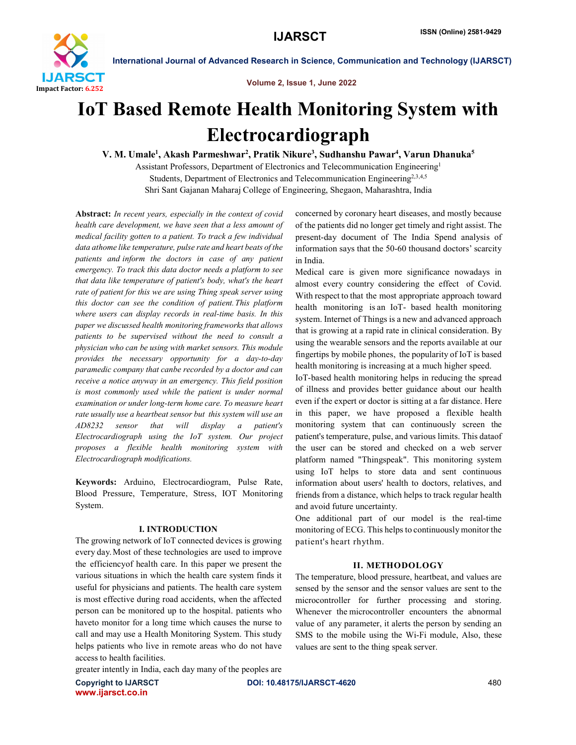

Volume 2, Issue 1, June 2022

# IoT Based Remote Health Monitoring System with Electrocardiograph

V. M. Umale<sup>1</sup>, Akash Parmeshwar<sup>2</sup>, Pratik Nikure<sup>3</sup>, Sudhanshu Pawar<sup>4</sup>, Varun Dhanuka<sup>5</sup>

Assistant Professors, Department of Electronics and Telecommunication Engineering1 Students, Department of Electronics and Telecommunication Engineering<sup>2,3,4,5</sup> Shri Sant Gajanan Maharaj College of Engineering, Shegaon, Maharashtra, India

Abstract: *In recent years, especially in the context of covid health care development, we have seen that a less amount of medical facility gotten to a patient. To track a few individual data athome like temperature, pulse rate and heart beats of the patients and inform the doctors in case of any patient emergency. To track this data doctor needs a platform to see that data like temperature of patient's body, what's the heart rate of patient for this we are using Thing speak server using this doctor can see the condition of patient.This platform where users can display records in real-time basis. In this paper we discussed health monitoring frameworks that allows patients to be supervised without the need to consult a physician who can be using with market sensors. This module provides the necessary opportunity for a day-to-day paramedic company that canbe recorded by a doctor and can receive a notice anyway in an emergency. This field position is most commonly used while the patient is under normal examination or under long-term home care. To measure heart rate usually use a heartbeat sensor but this system will use an AD8232 sensor that will display a patient's Electrocardiograph using the IoT system. Our project proposes a flexible health monitoring system with Electrocardiograph modifications.*

Keywords: Arduino, Electrocardiogram, Pulse Rate, Blood Pressure, Temperature, Stress, IOT Monitoring System.

#### I. INTRODUCTION

The growing network of IoT connected devices is growing every day.Most of these technologies are used to improve the efficiencyof health care. In this paper we present the various situations in which the health care system finds it useful for physicians and patients. The health care system is most effective during road accidents, when the affected person can be monitored up to the hospital. patients who haveto monitor for a long time which causes the nurse to call and may use a Health Monitoring System. This study helps patients who live in remote areas who do not have access to health facilities.

concerned by coronary heart diseases, and mostly because of the patients did no longer get timely and right assist. The present-day document of The India Spend analysis of information says that the 50-60 thousand doctors' scarcity in India.

Medical care is given more significance nowadays in almost every country considering the effect of Covid. With respect to that the most appropriate approach toward health monitoring is an IoT- based health monitoring system. Internet of Things is a new and advanced approach that is growing at a rapid rate in clinical consideration. By using the wearable sensors and the reports available at our fingertips by mobile phones, the popularity of IoT is based health monitoring is increasing at a much higher speed.

IoT-based health monitoring helps in reducing the spread of illness and provides better guidance about our health even if the expert or doctor is sitting at a far distance. Here in this paper, we have proposed a flexible health monitoring system that can continuously screen the patient's temperature, pulse, and various limits. This dataof the user can be stored and checked on a web server platform named "Thingspeak". This monitoring system using IoT helps to store data and sent continuous information about users' health to doctors, relatives, and friends from a distance, which helps to track regular health and avoid future uncertainty.

One additional part of our model is the real-time monitoring of ECG. This helps to continuously monitor the patient's heart rhythm.

### II. METHODOLOGY

The temperature, blood pressure, heartbeat, and values are sensed by the sensor and the sensor values are sent to the microcontroller for further processing and storing. Whenever the microcontroller encounters the abnormal value of any parameter, it alerts the person by sending an SMS to the mobile using the Wi-Fi module, Also, these values are sent to the thing speak server.

greater intently in India, each day many of the peoples are

www.ijarsct.co.in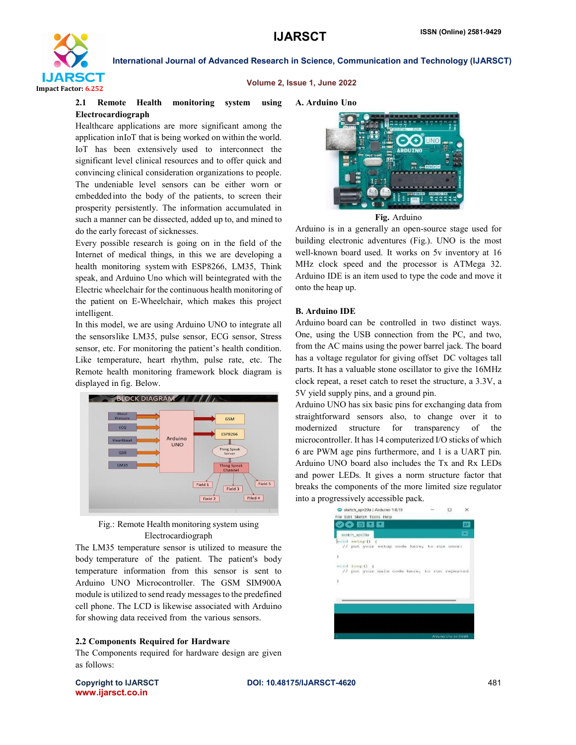

#### Volume 2, Issue 1, June 2022

### 2.1 Remote Health monitoring system using Electrocardiograph

Healthcare applications are more significant among the application inIoT that is being worked on within the world. IoT has been extensively used to interconnect the significant level clinical resources and to offer quick and convincing clinical consideration organizations to people. The undeniable level sensors can be either worn or embeddedinto the body of the patients, to screen their prosperity persistently. The information accumulated in such a manner can be dissected, added up to, and mined to do the early forecast of sicknesses.

Every possible research is going on in the field of the Internet of medical things, in this we are developing a health monitoring system with ESP8266, LM35, Think speak, and Arduino Uno which will beintegrated with the Electric wheelchair for the continuous health monitoring of the patient on E-Wheelchair, which makes this project intelligent.

In this model, we are using Arduino UNO to integrate all the sensorslike LM35, pulse sensor, ECG sensor, Stress sensor, etc. For monitoring the patient's health condition. Like temperature, heart rhythm, pulse rate, etc. The Remote health monitoring framework block diagram is displayed in fig. Below.





The LM35 temperature sensor is utilized to measure the body temperature of the patient. The patient's body temperature information from this sensor is sent to Arduino UNO Microcontroller. The GSM SIM900A module is utilized to send ready messages to the predefined cell phone. The LCD is likewise associated with Arduino for showing data received from the various sensors.

#### 2.2 Components Required for Hardware

The Components required for hardware design are given as follows:

A. Arduino Uno



Fig. Arduino

Arduino is in a generally an open-source stage used for building electronic adventures (Fig.). UNO is the most well-known board used. It works on 5v inventory at 16 MHz clock speed and the processor is ATMega 32. Arduino IDE is an item used to type the code and move it onto the heap up.

#### B. Arduino IDE

Arduino board can be controlled in two distinct ways. One, using the USB connection from the PC, and two, from the AC mains using the power barrel jack. The board has a voltage regulator for giving offset DC voltages tall parts. It has a valuable stone oscillator to give the 16MHz clock repeat, a reset catch to reset the structure, a 3.3V, a 5V yield supply pins, and a ground pin.

Arduino UNO has six basic pins for exchanging data from straightforward sensors also, to change over it to modernized structure for transparency of the microcontroller. It has 14 computerized I/O sticks of which 6 are PWM age pins furthermore, and 1 is a UART pin. Arduino UNO board also includes the Tx and Rx LEDs and power LEDs. It gives a norm structure factor that breaks the components of the more limited size regulator into a progressively accessible pack.



www.ijarsct.co.in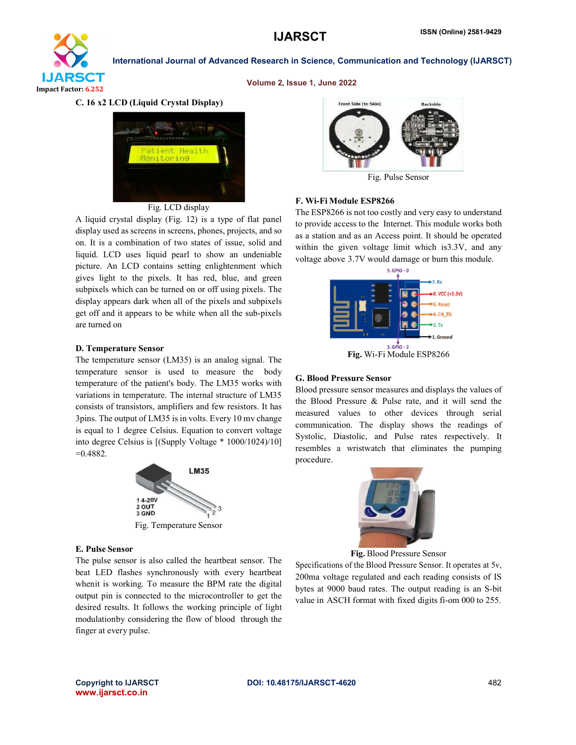

Volume 2, Issue 1, June 2022

### C. 16 x2 LCD (Liquid Crystal Display)



#### Fig. LCD display

A liquid crystal display (Fig. 12) is a type of flat panel display used as screens in screens, phones, projects, and so on. It is a combination of two states of issue, solid and liquid. LCD uses liquid pearl to show an undeniable picture. An LCD contains setting enlightenment which gives light to the pixels. It has red, blue, and green subpixels which can be turned on or off using pixels. The display appears dark when all of the pixels and subpixels get off and it appears to be white when all the sub-pixels are turned on

#### D. Temperature Sensor

The temperature sensor (LM35) is an analog signal. The temperature sensor is used to measure the body temperature of the patient's body. The LM35 works with variations in temperature. The internal structure of LM35 consists of transistors, amplifiers and few resistors. It has 3pins. The output of LM35 is in volts. Every 10 mv change is equal to 1 degree Celsius. Equation to convert voltage into degree Celsius is [(Supply Voltage \* 1000/1024)/10] =0.4882.



Fig. Temperature Sensor

#### E. Pulse Sensor

The pulse sensor is also called the heartbeat sensor. The beat LED flashes synchronously with every heartbeat whenit is working. To measure the BPM rate the digital output pin is connected to the microcontroller to get the desired results. It follows the working principle of light modulationby considering the flow of blood through the finger at every pulse.



Fig. Pulse Sensor

#### F. Wi-Fi Module ESP8266

The ESP8266 is not too costly and very easy to understand to provide access to the Internet. This module works both as a station and as an Access point. It should be operated within the given voltage limit which is3.3V, and any voltage above 3.7V would damage or burn this module.



Fig. Wi-Fi Module ESP8266

#### G. Blood Pressure Sensor

Blood pressure sensor measures and displays the values of the Blood Pressure & Pulse rate, and it will send the measured values to other devices through serial communication. The display shows the readings of Systolic, Diastolic, and Pulse rates respectively. It resembles a wristwatch that eliminates the pumping procedure.



Fig. Blood Pressure Sensor

Specifications of the Blood Pressure Sensor. It operates at 5v, 200ma voltage regulated and each reading consists of IS bytes at 9000 baud rates. The output reading is an S-bit value in ASCH format with fixed digits fi-om 000 to 255.

www.ijarsct.co.in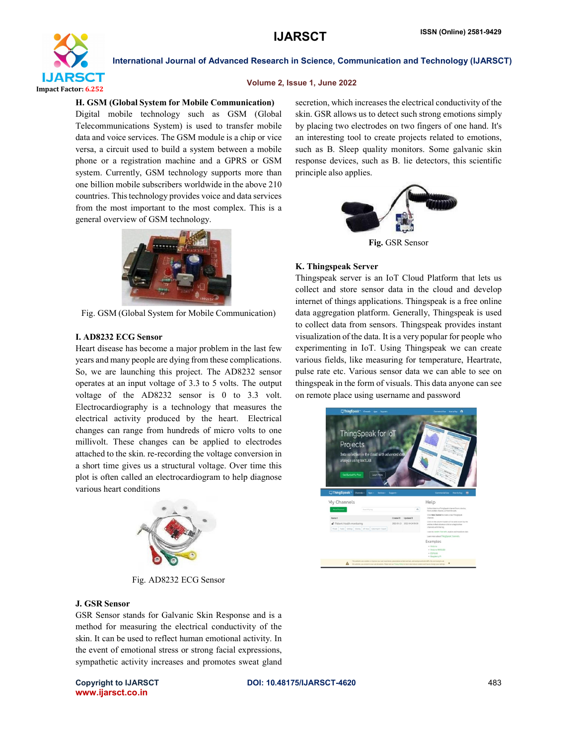

#### Volume 2, Issue 1, June 2022

#### H. GSM (Global System for Mobile Communication)

Digital mobile technology such as GSM (Global Telecommunications System) is used to transfer mobile data and voice services. The GSM module is a chip or vice versa, a circuit used to build a system between a mobile phone or a registration machine and a GPRS or GSM system. Currently, GSM technology supports more than one billion mobile subscribers worldwide in the above 210 countries. Thistechnology provides voice and data services from the most important to the most complex. This is a general overview of GSM technology.



Fig. GSM (Global System for Mobile Communication)

#### I. AD8232 ECG Sensor

Heart disease has become a major problem in the last few years and many people are dying from these complications. So, we are launching this project. The AD8232 sensor operates at an input voltage of 3.3 to 5 volts. The output voltage of the AD8232 sensor is 0 to 3.3 volt. Electrocardiography is a technology that measures the electrical activity produced by the heart. Electrical changes can range from hundreds of micro volts to one millivolt. These changes can be applied to electrodes attached to the skin. re-recording the voltage conversion in a short time gives us a structural voltage. Over time this plot is often called an electrocardiogram to help diagnose various heart conditions



Fig. AD8232 ECG Sensor

#### J. GSR Sensor

GSR Sensor stands for Galvanic Skin Response and is a method for measuring the electrical conductivity of the skin. It can be used to reflect human emotional activity. In the event of emotional stress or strong facial expressions, sympathetic activity increases and promotes sweat gland

www.ijarsct.co.in

secretion, which increases the electrical conductivity of the skin. GSR allows us to detect such strong emotions simply by placing two electrodes on two fingers of one hand. It's an interesting tool to create projects related to emotions, such as B. Sleep quality monitors. Some galvanic skin response devices, such as B. lie detectors, this scientific principle also applies.



Fig. GSR Sensor

#### K. Thingspeak Server

Thingspeak server is an IoT Cloud Platform that lets us collect and store sensor data in the cloud and develop internet of things applications. Thingspeak is a free online data aggregation platform. Generally, Thingspeak is used to collect data from sensors. Thingspeak provides instant visualization of the data. It is a very popular for people who experimenting in IoT. Using Thingspeak we can create various fields, like measuring for temperature, Heartrate, pulse rate etc. Various sensor data we can able to see on thingspeak in the form of visuals. This data anyone can see on remote place using username and password

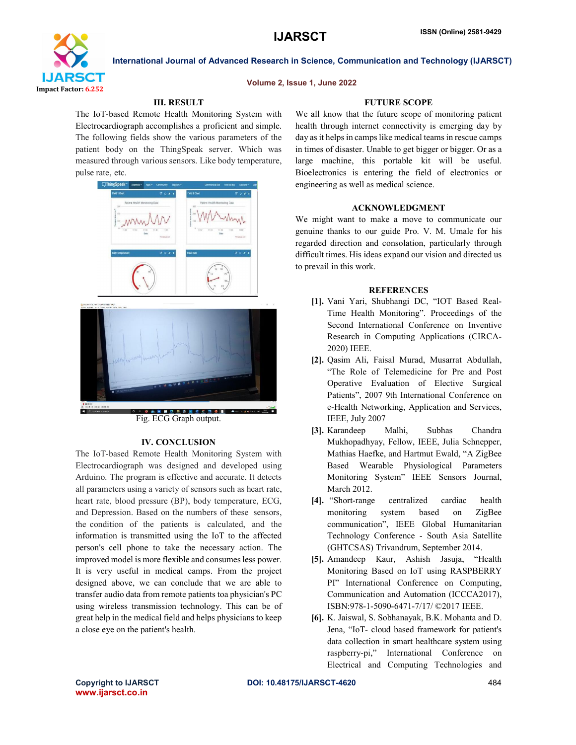

#### Volume 2, Issue 1, June 2022

International Journal of Advanced Research in Science, Communication and Technology (IJARSCT)

### III. RESULT

The IoT-based Remote Health Monitoring System with Electrocardiograph accomplishes a proficient and simple. The following fields show the various parameters of the patient body on the ThingSpeak server. Which was measured through various sensors. Like body temperature, pulse rate, etc.



Fig. ECG Graph output.

#### IV. CONCLUSION

The IoT-based Remote Health Monitoring System with Electrocardiograph was designed and developed using Arduino. The program is effective and accurate. It detects all parameters using a variety of sensors such as heart rate, heart rate, blood pressure (BP), body temperature, ECG, and Depression. Based on the numbers of these sensors, the condition of the patients is calculated, and the information is transmitted using the IoT to the affected person's cell phone to take the necessary action. The improved model is more flexible and consumes less power. It is very useful in medical camps. From the project designed above, we can conclude that we are able to transfer audio data from remote patients toa physician's PC using wireless transmission technology. This can be of great help in the medical field and helps physicians to keep a close eye on the patient's health.

#### FUTURE SCOPE

We all know that the future scope of monitoring patient health through internet connectivity is emerging day by day as it helps in camps like medical teams in rescue camps in times of disaster. Unable to get bigger or bigger. Or as a large machine, this portable kit will be useful. Bioelectronics is entering the field of electronics or engineering as well as medical science.

#### ACKNOWLEDGMENT

We might want to make a move to communicate our genuine thanks to our guide Pro. V. M. Umale for his regarded direction and consolation, particularly through difficult times. His ideas expand our vision and directed us to prevail in this work.

#### **REFERENCES**

- [1]. Vani Yari, Shubhangi DC, "IOT Based Real-Time Health Monitoring". Proceedings of the Second International Conference on Inventive Research in Computing Applications (CIRCA-2020) IEEE.
- [2]. Qasim Ali, Faisal Murad, Musarrat Abdullah, "The Role of Telemedicine for Pre and Post Operative Evaluation of Elective Surgical Patients", 2007 9th International Conference on e-Health Networking, Application and Services, IEEE, July 2007
- [3]. Karandeep Malhi, Subhas Chandra Mukhopadhyay, Fellow, IEEE, Julia Schnepper, Mathias Haefke, and Hartmut Ewald, "A ZigBee Based Wearable Physiological Parameters Monitoring System" IEEE Sensors Journal, March 2012.
- [4]. "Short-range centralized cardiac health monitoring system based on ZigBee communication", IEEE Global Humanitarian Technology Conference - South Asia Satellite (GHTCSAS) Trivandrum, September 2014.
- [5]. Amandeep Kaur, Ashish Jasuja, "Health Monitoring Based on IoT using RASPBERRY PI" International Conference on Computing, Communication and Automation (ICCCA2017), ISBN:978-1-5090-6471-7/17/ ©2017 IEEE.
- [6]. K. Jaiswal, S. Sobhanayak, B.K. Mohanta and D. Jena, "IoT- cloud based framework for patient's data collection in smart healthcare system using raspberry-pi," International Conference on Electrical and Computing Technologies and